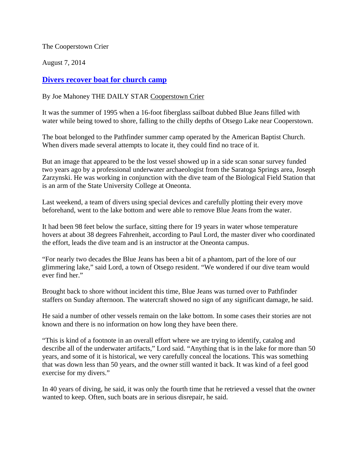The Cooperstown Crier

August 7, 2014

## **Divers recover boat for church camp**

## By Joe Mahoney THE DAILY STAR Cooperstown Crier

It was the summer of 1995 when a 16-foot fiberglass sailboat dubbed Blue Jeans filled with water while being towed to shore, falling to the chilly depths of Otsego Lake near Cooperstown.

The boat belonged to the Pathfinder summer camp operated by the American Baptist Church. When divers made several attempts to locate it, they could find no trace of it.

But an image that appeared to be the lost vessel showed up in a side scan sonar survey funded two years ago by a professional underwater archaeologist from the Saratoga Springs area, Joseph Zarzynski. He was working in conjunction with the dive team of the Biological Field Station that is an arm of the State University College at Oneonta.

Last weekend, a team of divers using special devices and carefully plotting their every move beforehand, went to the lake bottom and were able to remove Blue Jeans from the water.

It had been 98 feet below the surface, sitting there for 19 years in water whose temperature hovers at about 38 degrees Fahrenheit, according to Paul Lord, the master diver who coordinated the effort, leads the dive team and is an instructor at the Oneonta campus.

"For nearly two decades the Blue Jeans has been a bit of a phantom, part of the lore of our glimmering lake," said Lord, a town of Otsego resident. "We wondered if our dive team would ever find her."

Brought back to shore without incident this time, Blue Jeans was turned over to Pathfinder staffers on Sunday afternoon. The watercraft showed no sign of any significant damage, he said.

He said a number of other vessels remain on the lake bottom. In some cases their stories are not known and there is no information on how long they have been there.

"This is kind of a footnote in an overall effort where we are trying to identify, catalog and describe all of the underwater artifacts," Lord said. "Anything that is in the lake for more than 50 years, and some of it is historical, we very carefully conceal the locations. This was something that was down less than 50 years, and the owner still wanted it back. It was kind of a feel good exercise for my divers."

In 40 years of diving, he said, it was only the fourth time that he retrieved a vessel that the owner wanted to keep. Often, such boats are in serious disrepair, he said.